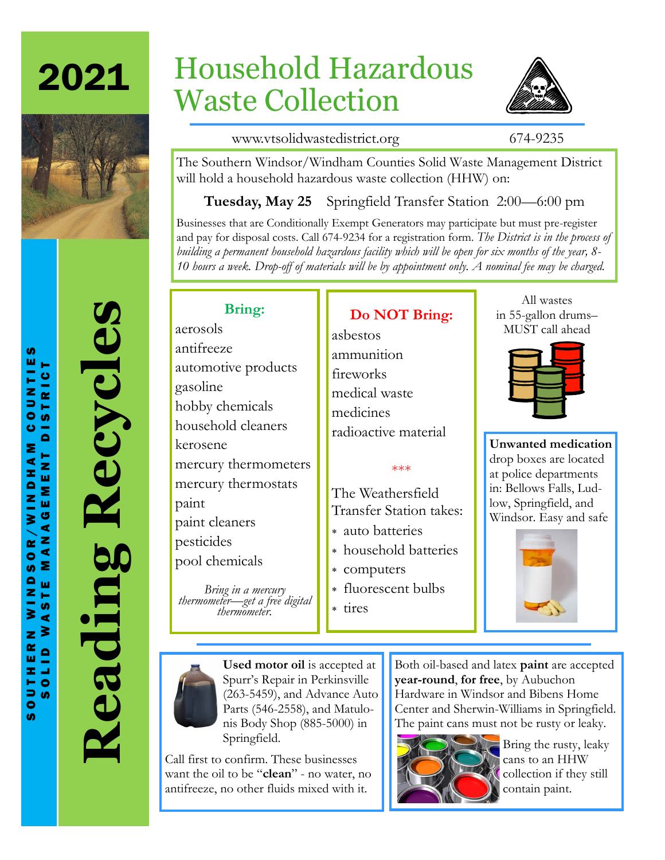



# **Reading Recycles** Recycles Reading

# Household Hazardous Waste Collection



www.vtsolidwastedistrict.org 674-9235

All wastes in 55-gallon drums– MUST call ahead

**Unwanted medication**  drop boxes are located at police departments in: Bellows Falls, Ludlow, Springfield, and Windsor. Easy and safe

The Southern Windsor/Windham Counties Solid Waste Management District will hold a household hazardous waste collection (HHW) on:

**Tuesday, May 25** Springfield Transfer Station 2:00—6:00 pm

Businesses that are Conditionally Exempt Generators may participate but must pre-register and pay for disposal costs. Call 674-9234 for a registration form. *The District is in the process of building a permanent household hazardous facility which will be open for six months of the year, 8- 10 hours a week. Drop-off of materials will be by appointment only. A nominal fee may be charged.*

### **Bring:**

aerosols antifreeze automotive products gasoline hobby chemicals household cleaners kerosene mercury thermometers mercury thermostats paint paint cleaners pesticides pool chemicals

*Bring in a mercury thermometer—get a free digital thermometer.*

ammunition fireworks medical waste medicines radioactive material

The Weathersfield Transfer Station takes:

- auto batteries
- household batteries
- 
- fluorescent bulbs

tires

**Used motor oil** is accepted at Spurr's Repair in Perkinsville (263-5459), and Advance Auto Parts (546-2558), and Matulonis Body Shop (885-5000) in Springfield.

Call first to confirm. These businesses want the oil to be "**clean**" - no water, no antifreeze, no other fluids mixed with it.

Both oil-based and latex **paint** are accepted **year-round**, **for free**, by Aubuchon Hardware in Windsor and Bibens Home Center and Sherwin-Williams in Springfield. The paint cans must not be rusty or leaky.



 $\equiv$  Bring the rusty, leaky cans to an HHW collection if they still contain paint.

**Do NOT Bring:** asbestos

### \*\*\*

- 
- 
- computers
- 

 $\bullet$ **SD** 

**SD**